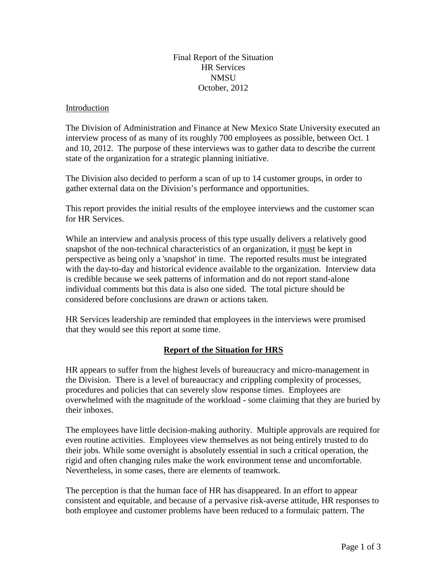## Final Report of the Situation HR Services **NMSU** October, 2012

#### Introduction

The Division of Administration and Finance at New Mexico State University executed an interview process of as many of its roughly 700 employees as possible, between Oct. 1 and 10, 2012. The purpose of these interviews was to gather data to describe the current state of the organization for a strategic planning initiative.

The Division also decided to perform a scan of up to 14 customer groups, in order to gather external data on the Division's performance and opportunities.

This report provides the initial results of the employee interviews and the customer scan for HR Services.

While an interview and analysis process of this type usually delivers a relatively good snapshot of the non-technical characteristics of an organization, it must be kept in perspective as being only a 'snapshot' in time. The reported results must be integrated with the day-to-day and historical evidence available to the organization. Interview data is credible because we seek patterns of information and do not report stand-alone individual comments but this data is also one sided. The total picture should be considered before conclusions are drawn or actions taken.

HR Services leadership are reminded that employees in the interviews were promised that they would see this report at some time.

# **Report of the Situation for HRS**

HR appears to suffer from the highest levels of bureaucracy and micro-management in the Division. There is a level of bureaucracy and crippling complexity of processes, procedures and policies that can severely slow response times. Employees are overwhelmed with the magnitude of the workload - some claiming that they are buried by their inboxes.

The employees have little decision-making authority. Multiple approvals are required for even routine activities. Employees view themselves as not being entirely trusted to do their jobs. While some oversight is absolutely essential in such a critical operation, the rigid and often changing rules make the work environment tense and uncomfortable. Nevertheless, in some cases, there are elements of teamwork.

The perception is that the human face of HR has disappeared. In an effort to appear consistent and equitable, and because of a pervasive risk-averse attitude, HR responses to both employee and customer problems have been reduced to a formulaic pattern. The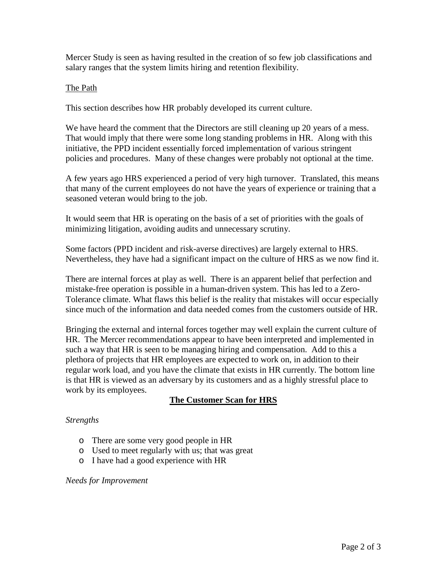Mercer Study is seen as having resulted in the creation of so few job classifications and salary ranges that the system limits hiring and retention flexibility.

### The Path

This section describes how HR probably developed its current culture.

We have heard the comment that the Directors are still cleaning up 20 years of a mess. That would imply that there were some long standing problems in HR. Along with this initiative, the PPD incident essentially forced implementation of various stringent policies and procedures. Many of these changes were probably not optional at the time.

A few years ago HRS experienced a period of very high turnover. Translated, this means that many of the current employees do not have the years of experience or training that a seasoned veteran would bring to the job.

It would seem that HR is operating on the basis of a set of priorities with the goals of minimizing litigation, avoiding audits and unnecessary scrutiny.

Some factors (PPD incident and risk-averse directives) are largely external to HRS. Nevertheless, they have had a significant impact on the culture of HRS as we now find it.

There are internal forces at play as well. There is an apparent belief that perfection and mistake-free operation is possible in a human-driven system. This has led to a Zero-Tolerance climate. What flaws this belief is the reality that mistakes will occur especially since much of the information and data needed comes from the customers outside of HR.

Bringing the external and internal forces together may well explain the current culture of HR. The Mercer recommendations appear to have been interpreted and implemented in such a way that HR is seen to be managing hiring and compensation. Add to this a plethora of projects that HR employees are expected to work on, in addition to their regular work load, and you have the climate that exists in HR currently. The bottom line is that HR is viewed as an adversary by its customers and as a highly stressful place to work by its employees.

# **The Customer Scan for HRS**

### *Strengths*

- o There are some very good people in HR
- o Used to meet regularly with us; that was great
- o I have had a good experience with HR

### *Needs for Improvement*